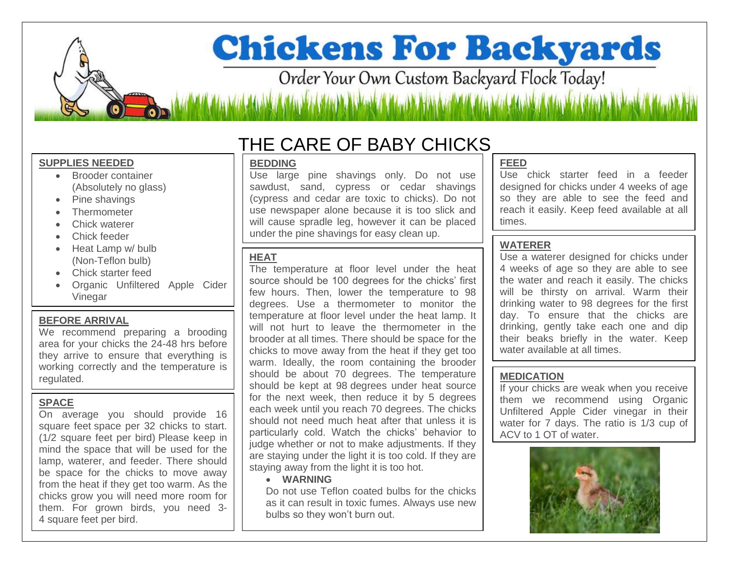# **Chickens For Backyards**

Order Your Own Custom Backyard Flock Today!

#### **SUPPLIES NEEDED**

- Brooder container (Absolutely no glass)
- Pine shavings
- **Thermometer**
- Chick waterer
- Chick feeder
- Heat Lamp w/ bulb (Non-Teflon bulb)
- Chick starter feed
- Organic Unfiltered Apple Cider Vinegar

#### **BEFORE ARRIVAL**

We recommend preparing a brooding area for your chicks the 24-48 hrs before they arrive to ensure that everything is working correctly and the temperature is regulated.

#### **SPACE**

On average you should provide 16 square feet space per 32 chicks to start. (1/2 square feet per bird) Please keep in mind the space that will be used for the lamp, waterer, and feeder. There should be space for the chicks to move away from the heat if they get too warm. As the chicks grow you will need more room for them. For grown birds, you need 3- 4 square feet per bird.

### THE CARE OF BABY CHICKS

#### **BEDDING**

Use large pine shavings only. Do not use sawdust, sand, cypress or cedar shavings (cypress and cedar are toxic to chicks). Do not use newspaper alone because it is too slick and will cause spradle leg, however it can be placed under the pine shavings for easy clean up.

#### **HEAT**

The temperature at floor level under the heat source should be 100 degrees for the chicks' first few hours. Then, lower the temperature to 98 degrees. Use a thermometer to monitor the temperature at floor level under the heat lamp. It will not hurt to leave the thermometer in the brooder at all times. There should be space for the chicks to move away from the heat if they get too warm. Ideally, the room containing the brooder should be about 70 degrees. The temperature should be kept at 98 degrees under heat source for the next week, then reduce it by 5 degrees each week until you reach 70 degrees. The chicks should not need much heat after that unless it is particularly cold. Watch the chicks' behavior to judge whether or not to make adjustments. If they are staying under the light it is too cold. If they are staying away from the light it is too hot.

#### **WARNING**

Do not use Teflon coated bulbs for the chicks as it can result in toxic fumes. Always use new bulbs so they won't burn out.

#### **FEED**

Use chick starter feed in a feeder designed for chicks under 4 weeks of age so they are able to see the feed and reach it easily. Keep feed available at all times.

#### **WATERER**

Use a waterer designed for chicks under 4 weeks of age so they are able to see the water and reach it easily. The chicks will be thirsty on arrival. Warm their drinking water to 98 degrees for the first day. To ensure that the chicks are drinking, gently take each one and dip their beaks briefly in the water. Keep water available at all times.

#### **MEDICATION**

If your chicks are weak when you receive them we recommend using Organic Unfiltered Apple Cider vinegar in their water for 7 days. The ratio is 1/3 cup of ACV to 1 QT of water.